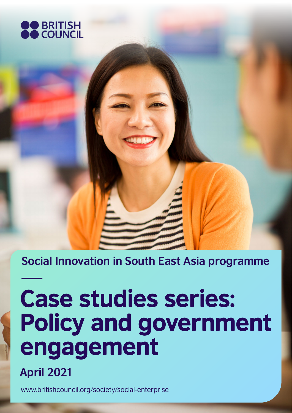

**Social Innovation in South East Asia programme**

# Case studies series: Policy and government engagement



<www.britishcouncil.org/society/social-enterprise>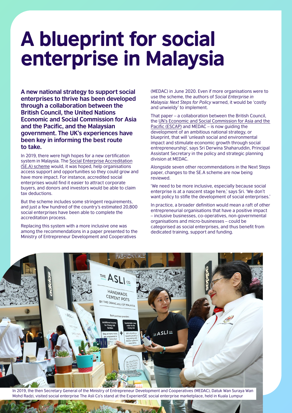## A blueprint for social enterprise in Malaysia

**A new national strategy to support social enterprises to thrive has been developed through a collaboration between the British Council, the United Nations Economic and Social Commission for Asia and the Pacific, and the Malaysian government. The UK's experiences have been key in informing the best route to take.** 

In 2019, there were high hopes for a new certification system in Malaysia. The [Social Enterprise Accreditation](https://central.mymagic.my/sea) [\(SE.A\) scheme](https://central.mymagic.my/sea) would, it was hoped, help organisations access support and opportunities so they could grow and have more impact. For instance, accredited social enterprises would find it easier to attract corporate buyers, and donors and investors would be able to claim tax deductions.

But the scheme includes some stringent requirements, and just a few hundred of the country's estimated 20,800 social enterprises have been able to complete the accreditation process.

Replacing this system with a more inclusive one was among the recommendations in a paper presented to the Ministry of Entrepreneur Development and Cooperatives

(MEDAC) in June 2020. Even if more organisations were to use the scheme, the authors of *Social Enterprise in Malaysia: Next Steps for Policy* warned, it would be 'costly and unwieldy' to implement.

That paper – a collaboration between the British Council, the [UN's Economic and Social Commission for Asia and the](https://www.unescap.org)  [Pacific \(ESCAP\)](https://www.unescap.org) and MEDAC – is now guiding the development of an ambitious national strategy, or blueprint, that will 'unleash social and environmental impact and stimulate economic growth through social entrepreneurship', says Sri Derwina Shaharuddin, Principal Assistant Secretary in the policy and strategic planning division at MEDAC.

Alongside seven other recommendations in the Next Steps paper, changes to the SE.A scheme are now being reviewed.

'We need to be more inclusive, especially because social enterprise is at a nascent stage here,' says Sri. 'We don't want policy to stifle the development of social enterprises.'

In practice, a broader definition would mean a raft of other entrepreneurial organisations that have a positive impact – inclusive businesses, co-operatives, non-governmental organisations and micro-businesses – could be categorised as social enterprises, and thus benefit from dedicated training, support and funding.

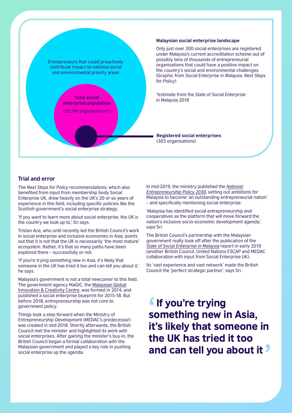

#### **Malaysian social enterprise landscape**

Only just over 300 social enterprises are registered under Malaysia's current accreditation scheme out of possibly tens of thousands of entrepreneurial organisations that could have a positive impact on the country's social and environmental challenges (Graphic from *Social Enterprise in Malaysia: Next Steps* 

*\**estimate from the *State of Social Enterprise* 

**Registered social enterprises**  (303 organisations)

#### **Trial and error**

The *Next Steps for Policy* recommendations, which also benefited from input from membership body Social Enterprise UK, drew heavily on the UK's 20 or so years of experience in this field, including specific policies like the Scottish government's social enterprise strategy.

'If you want to learn more about social enterprise, the UK is the country we look up to,' Sri says.

Tristan Ace, who until recently led the British Council's work in social enterprise and inclusive economies in Asia, points out that it is not that the UK is necessarily 'the most mature' ecosystem. Rather, it's that so many paths have been explored there – successfully or not.

'If you're trying something new in Asia, it's likely that someone in the UK has tried it too and can tell you about it,' he says.

Malaysia's government is not a total newcomer to this field. The government agency MaGIC, the [Malaysian Global](https://www.mymagic.my) [Innovation & Creativity Centre](https://www.mymagic.my), was formed in 2014, and published a social enterprise blueprint for 2015-18. But before 2018, entrepreneurship was not core to government policy.

Things took a step forward when the Ministry of Entrepreneurship Development (MEDAC's predecessor) was created in mid-2018. Shortly afterwards, the British Council met the minister and highlighted its work with social enterprises. After gaining the minister's buy-in, the British Council began a formal collaboration with the Malaysian government and played a key role in pushing social enterprise up the agenda.

In mid-2019, the ministry published the *[National](https://www.medac.gov.my/admin/files/med/image/portal/NEP2030-Final.pdf) [Entrepreneurship Policy 2030](https://www.medac.gov.my/admin/files/med/image/portal/NEP2030-Final.pdf)*, setting out ambitions for Malaysia to become 'an outstanding entrepreneurial nation' – and specifically mentioning social enterprise.

'Malaysia has identified social entrepreneurship and cooperatives as the platform that will move forward the nation's inclusive socio-economic development agenda,' says Sri.

The British Council's partnership with the Malaysian government really took off after the publication of the *[State of Social Enterprise in Malaysia](https://www.britishcouncil.org/sites/default/files/the_state_of_social_enterprise_in_malaysia_british_council_low_res.pdf)* report in early 2019 (another British Council, United Nations ESCAP and MEDAC collaboration with input from Social Enterprise UK).

Its 'vast experience and vast network' made the British Council the 'perfect strategic partner', says Sri.

**If you're trying<br>something new in Asia, If you're trying** it's likely that someone in the UK has tried it too and can tell you about it '